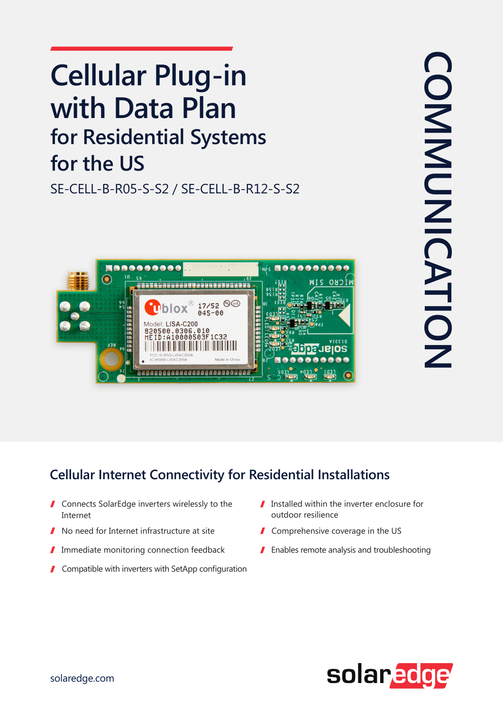## **Cellular Plug-in with Data Plan for Residential Systems** for the US

SE-CELL-B-R05-S-S2 / SE-CELL-B-R12-S-S2



## **Cellular Internet Connectivity for Residential Installations**

- $\blacksquare$  Connects SolarEdge inverters wirelessly to the Internet
- No need for Internet infrastructure at site
- Immediate monitoring connection feedback I
- $\blacksquare$  Compatible with inverters with SetApp configuration
- $\blacksquare$  Installed within the inverter enclosure for resilience outdoor
- $\blacksquare$  Comprehensive coverage in the US
- $\blacksquare$  Enables remote analysis and troubleshooting